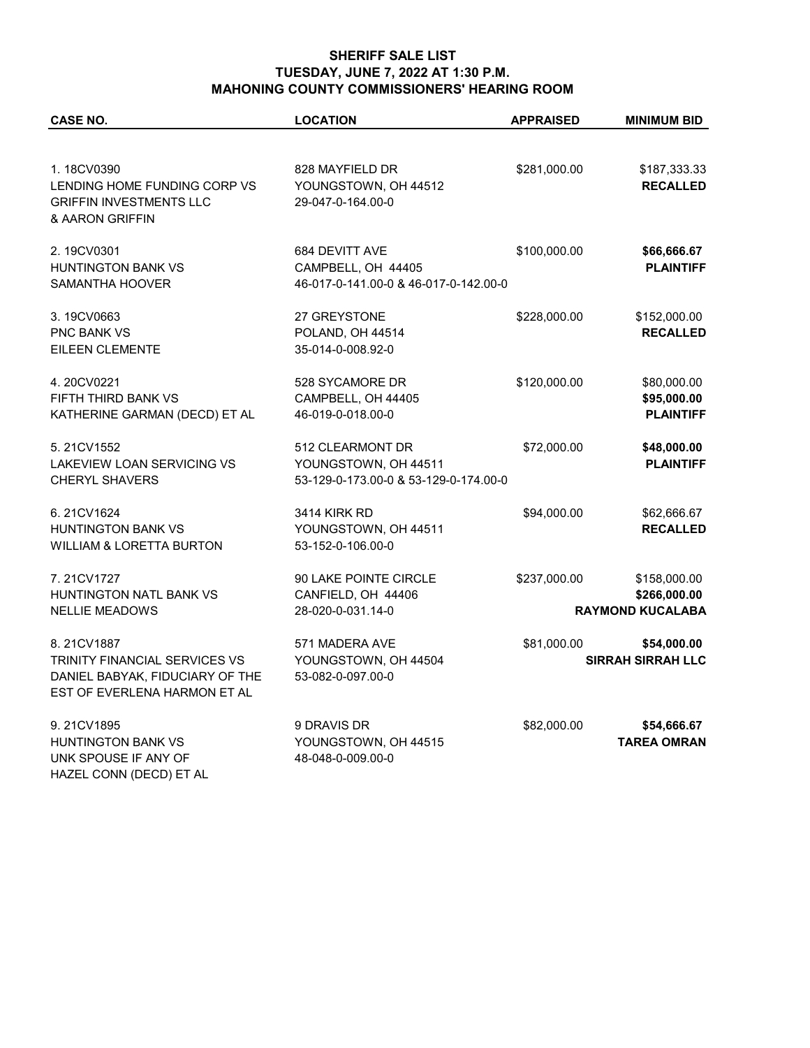## **SHERIFF SALE LIST TUESDAY, JUNE 7, 2022 AT 1:30 P.M. MAHONING COUNTY COMMISSIONERS' HEARING ROOM**

| CASE NO.                                                                                                       | <b>LOCATION</b>                                                                   | <b>APPRAISED</b> | <b>MINIMUM BID</b>                                      |
|----------------------------------------------------------------------------------------------------------------|-----------------------------------------------------------------------------------|------------------|---------------------------------------------------------|
| 1.18CV0390                                                                                                     | 828 MAYFIELD DR                                                                   | \$281,000.00     | \$187,333.33                                            |
| LENDING HOME FUNDING CORP VS<br><b>GRIFFIN INVESTMENTS LLC</b><br>& AARON GRIFFIN                              | YOUNGSTOWN, OH 44512<br>29-047-0-164.00-0                                         |                  | <b>RECALLED</b>                                         |
| 2.19CV0301<br><b>HUNTINGTON BANK VS</b><br>SAMANTHA HOOVER                                                     | 684 DEVITT AVE<br>CAMPBELL, OH 44405<br>46-017-0-141.00-0 & 46-017-0-142.00-0     | \$100,000.00     | \$66,666.67<br><b>PLAINTIFF</b>                         |
| 3.19CV0663<br><b>PNC BANK VS</b><br>EILEEN CLEMENTE                                                            | 27 GREYSTONE<br>POLAND, OH 44514<br>35-014-0-008.92-0                             | \$228,000.00     | \$152,000.00<br><b>RECALLED</b>                         |
| 4.20CV0221<br><b>FIFTH THIRD BANK VS</b><br>KATHERINE GARMAN (DECD) ET AL                                      | 528 SYCAMORE DR<br>CAMPBELL, OH 44405<br>46-019-0-018.00-0                        | \$120,000.00     | \$80,000.00<br>\$95,000.00<br><b>PLAINTIFF</b>          |
| 5.21CV1552<br>LAKEVIEW LOAN SERVICING VS<br><b>CHERYL SHAVERS</b>                                              | 512 CLEARMONT DR<br>YOUNGSTOWN, OH 44511<br>53-129-0-173.00-0 & 53-129-0-174.00-0 | \$72,000.00      | \$48,000.00<br><b>PLAINTIFF</b>                         |
| 6.21CV1624<br><b>HUNTINGTON BANK VS</b><br><b>WILLIAM &amp; LORETTA BURTON</b>                                 | <b>3414 KIRK RD</b><br>YOUNGSTOWN, OH 44511<br>53-152-0-106.00-0                  | \$94,000.00      | \$62,666.67<br><b>RECALLED</b>                          |
| 7.21CV1727<br>HUNTINGTON NATL BANK VS<br><b>NELLIE MEADOWS</b>                                                 | 90 LAKE POINTE CIRCLE<br>CANFIELD, OH 44406<br>28-020-0-031.14-0                  | \$237,000.00     | \$158,000.00<br>\$266,000.00<br><b>RAYMOND KUCALABA</b> |
| 8.21CV1887<br>TRINITY FINANCIAL SERVICES VS<br>DANIEL BABYAK, FIDUCIARY OF THE<br>EST OF EVERLENA HARMON ET AL | 571 MADERA AVE<br>YOUNGSTOWN, OH 44504<br>53-082-0-097.00-0                       | \$81,000.00      | \$54,000.00<br><b>SIRRAH SIRRAH LLC</b>                 |
| 9.21CV1895<br><b>HUNTINGTON BANK VS</b><br>UNK SPOUSE IF ANY OF<br>HAZEL CONN (DECD) ET AL                     | 9 DRAVIS DR<br>YOUNGSTOWN, OH 44515<br>48-048-0-009.00-0                          | \$82,000.00      | \$54,666.67<br><b>TAREA OMRAN</b>                       |